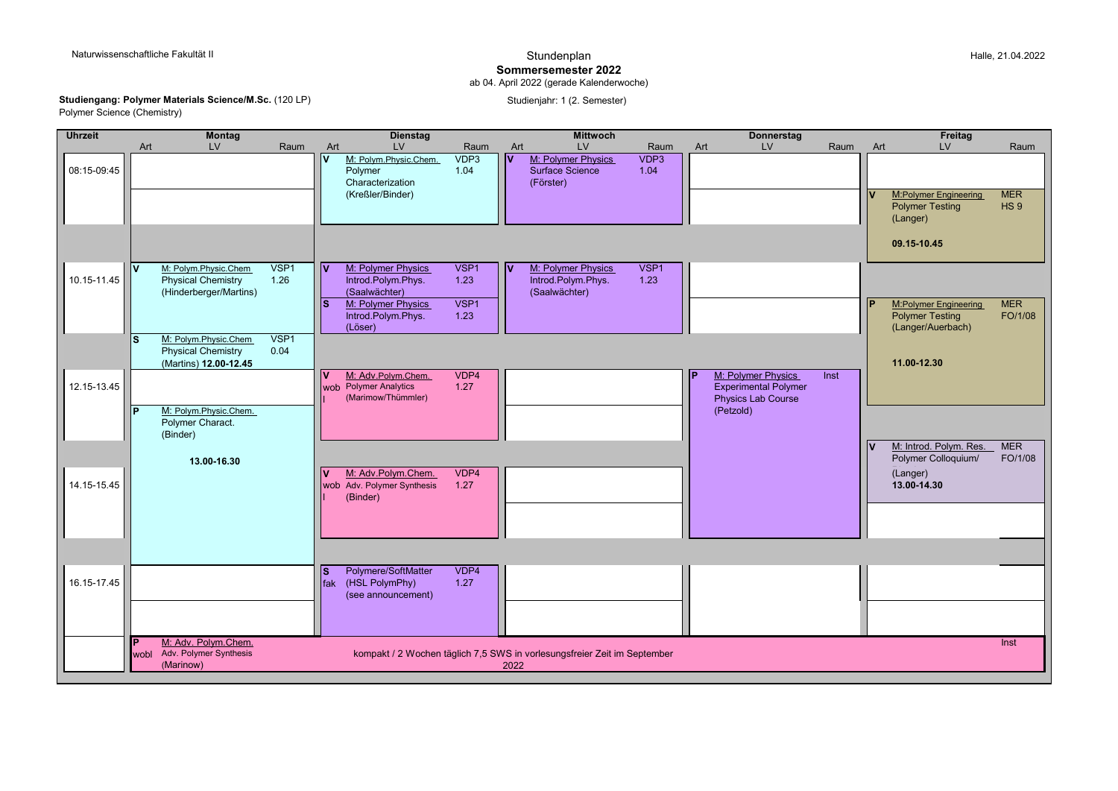## **Sommersemester 2022**

ab 04. April 2022 (gerade Kalenderwoche)

**Studiengang: Polymer Materials Science/M.Sc.** (120 LP) Studienjahr: 1 (2. Semester) Studienjahr: 1 (2. Semester) Polymer Science (Chemistry)

| <b>Uhrzeit</b> | <b>Montag</b>                                                                               |              | <b>Dienstag</b>                                                                                                               |                              | <b>Mittwoch</b>                                                                      |              | <b>Donnerstag</b>                                              | Freitag                                                                                              |
|----------------|---------------------------------------------------------------------------------------------|--------------|-------------------------------------------------------------------------------------------------------------------------------|------------------------------|--------------------------------------------------------------------------------------|--------------|----------------------------------------------------------------|------------------------------------------------------------------------------------------------------|
|                | <b>LV</b><br>Art                                                                            | Raum         | LV<br>Art                                                                                                                     | Raum                         | LV<br>Art                                                                            | Raum         | LV<br>Raum<br>Art                                              | LV<br>Raum<br>Art                                                                                    |
| 08:15-09:45    |                                                                                             |              | l۷<br>M: Polym.Physic.Chem.<br>Polymer<br>Characterization<br>(Kreßler/Binder)                                                | VDP3<br>1.04                 | $\overline{\mathsf{v}}$<br>M: Polymer Physics<br><b>Surface Science</b><br>(Förster) | VDP3<br>1.04 |                                                                | <b>MER</b><br>M:Polymer Engineering<br><b>Polymer Testing</b><br>HS <sub>9</sub><br>(Langer)         |
|                |                                                                                             |              |                                                                                                                               |                              |                                                                                      |              |                                                                | 09.15-10.45                                                                                          |
| 10.15-11.45    | M: Polym.Physic.Chem<br>$\mathbf{v}$<br><b>Physical Chemistry</b><br>(Hinderberger/Martins) | VSP1<br>1.26 | l۷<br>M: Polymer Physics<br>Introd.Polym.Phys.<br>(Saalwächter)<br>M: Polymer Physics<br>ls.<br>Introd.Polym.Phys.<br>(Löser) | VSP1<br>1.23<br>VSP1<br>1.23 | M: Polymer Physics<br>I۷<br>Introd.Polym.Phys.<br>(Saalwächter)                      | VSP1<br>1.23 |                                                                | <b>MER</b><br><b>M:Polymer Engineering</b><br><b>Polymer Testing</b><br>FO/1/08<br>(Langer/Auerbach) |
|                | M: Polym.Physic.Chem<br><b>S</b><br><b>Physical Chemistry</b><br>(Martins) 12.00-12.45      | VSP1<br>0.04 | M: Adv.Polym.Chem.<br>$\mathbf v$                                                                                             | VDP4                         |                                                                                      |              | M: Polymer Physics<br>Inst                                     | 11.00-12.30                                                                                          |
| 12.15-13.45    | M: Polym.Physic.Chem.<br>Polymer Charact.<br>(Binder)                                       |              | wob Polymer Analytics<br>(Marimow/Thümmler)                                                                                   | 1.27                         |                                                                                      |              | <b>Experimental Polymer</b><br>Physics Lab Course<br>(Petzold) |                                                                                                      |
| 14.15-15.45    | 13.00-16.30                                                                                 |              | M: Adv.Polym.Chem.<br>V<br>wob Adv. Polymer Synthesis<br>(Binder)                                                             | VDP4<br>1.27                 |                                                                                      |              |                                                                | <b>MER</b><br>M: Introd. Polym. Res.<br>Polymer Colloquium/<br>FO/1/08<br>(Langer)<br>13.00-14.30    |
|                |                                                                                             |              |                                                                                                                               |                              |                                                                                      |              |                                                                |                                                                                                      |
| 16.15-17.45    |                                                                                             |              | Polymere/SoftMatter<br>ls.<br>(HSL PolymPhy)<br>fak<br>(see announcement)                                                     | VDP4<br>1.27                 |                                                                                      |              |                                                                |                                                                                                      |
|                | M: Adv. Polym.Chem.<br>lP.<br>Adv. Polymer Synthesis<br>wobl<br>(Marinow)                   |              |                                                                                                                               |                              | kompakt / 2 Wochen täglich 7,5 SWS in vorlesungsfreier Zeit im September<br>2022     |              |                                                                | Inst                                                                                                 |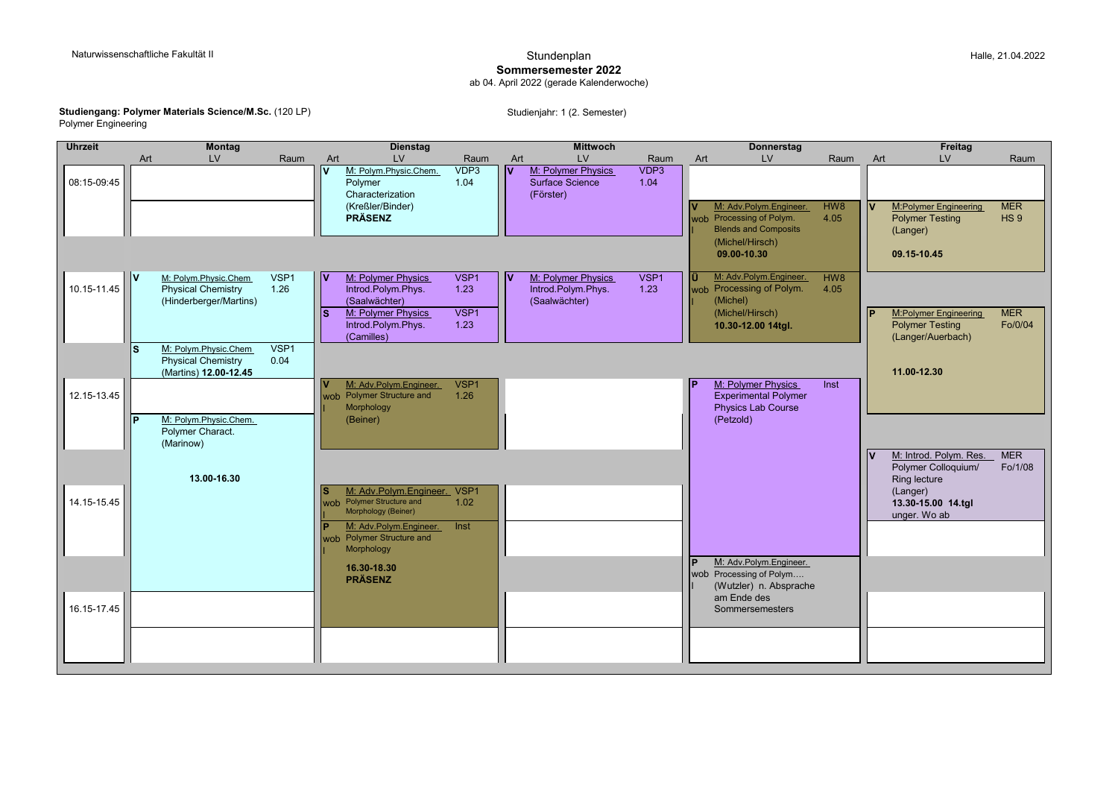## **Sommersemester 2022**

ab 04. April 2022 (gerade Kalenderwoche)

## **Studiengang: Polymer Materials Science/M.Sc.** (120 LP) Studienjahr: 1 (2. Semester) Studienjahr: 1 (2. Semester) Polymer Engineering

| <b>Uhrzeit</b> | <b>Montag</b>                                                                      |              | <b>Dienstag</b>                                                                       |                          |     | <b>Mittwoch</b>                                           |                          | <b>Donnerstag</b>                                                           |                 |     | Freitag                                                                     |                       |
|----------------|------------------------------------------------------------------------------------|--------------|---------------------------------------------------------------------------------------|--------------------------|-----|-----------------------------------------------------------|--------------------------|-----------------------------------------------------------------------------|-----------------|-----|-----------------------------------------------------------------------------|-----------------------|
|                | <b>LV</b><br>Art                                                                   | Raum         | Art<br>LV                                                                             | Raum                     | Art | LV                                                        | Raum                     | <b>LV</b><br>Art                                                            | Raum            | Art | <b>LV</b>                                                                   | Raum                  |
| 08:15-09:45    |                                                                                    |              | M: Polym.Physic.Chem.<br>lv<br>Polymer<br>Characterization<br>(Kreßler/Binder)        | VDP3<br>1.04             | v   | M: Polymer Physics<br>Surface Science<br>(Förster)        | VDP3<br>1.04             | M: Adv.Polym.Engineer.                                                      | HW <sub>8</sub> |     | <b>M:Polymer Engineering</b>                                                | <b>MER</b>            |
|                |                                                                                    |              | <b>PRÄSENZ</b>                                                                        |                          |     |                                                           |                          | wob Processing of Polym.<br><b>Blends and Composits</b><br>(Michel/Hirsch)  | 4.05            |     | <b>Polymer Testing</b><br>(Langer)                                          | HS <sub>9</sub>       |
|                |                                                                                    |              |                                                                                       |                          |     |                                                           |                          | 09.00-10.30                                                                 |                 |     | 09.15-10.45                                                                 |                       |
| 10.15-11.45    | lv.<br>M: Polym.Physic.Chem<br><b>Physical Chemistry</b><br>(Hinderberger/Martins) | VSP1<br>1.26 | l۷<br>M: Polymer Physics<br>Introd.Polym.Phys.<br>(Saalwächter)                       | VSP <sub>1</sub><br>1.23 | l۷  | M: Polymer Physics<br>Introd.Polym.Phys.<br>(Saalwächter) | VSP <sub>1</sub><br>1.23 | M: Adv.Polym.Engineer.<br>ΙÜ<br>wob Processing of Polym.<br>(Michel)        | HW8<br>4.05     |     |                                                                             |                       |
|                |                                                                                    |              | M: Polymer Physics<br>s.<br>Introd.Polym.Phys.<br>(Camilles)                          | VSP <sub>1</sub><br>1.23 |     |                                                           |                          | (Michel/Hirsch)<br>10.30-12.00 14tgl.                                       |                 |     | <b>M:Polymer Engineering</b><br><b>Polymer Testing</b><br>(Langer/Auerbach) | <b>MER</b><br>Fo/0/04 |
|                | S<br>M: Polym.Physic.Chem<br><b>Physical Chemistry</b><br>(Martins) 12.00-12.45    | VSP1<br>0.04 |                                                                                       |                          |     |                                                           |                          |                                                                             |                 |     | 11.00-12.30                                                                 |                       |
| 12.15-13.45    |                                                                                    |              | M: Adv.Polym.Engineer.<br>wob Polymer Structure and<br>Morphology                     | VSP1<br>1.26             |     |                                                           |                          | M: Polymer Physics<br><b>Experimental Polymer</b><br>Physics Lab Course     | Inst            |     |                                                                             |                       |
|                | M: Polym.Physic.Chem.<br>l p<br>Polymer Charact.<br>(Marinow)                      |              | (Beiner)                                                                              |                          |     |                                                           |                          | (Petzold)                                                                   |                 |     |                                                                             |                       |
|                | 13.00-16.30                                                                        |              |                                                                                       |                          |     |                                                           |                          |                                                                             |                 |     | M: Introd. Polym. Res.<br>Polymer Colloquium/<br>Ring lecture               | <b>MER</b><br>Fo/1/08 |
| 14.15-15.45    |                                                                                    |              | M: Adv.Polym.Engineer. VSP1<br>S.<br>wob Polymer Structure and<br>Morphology (Beiner) | 1.02 <sub>1</sub>        |     |                                                           |                          |                                                                             |                 |     | (Langer)<br>13.30-15.00 14.tgl<br>unger. Wo ab                              |                       |
|                |                                                                                    |              | M: Adv.Polym.Engineer.<br>wob Polymer Structure and<br>Morphology                     | Inst                     |     |                                                           |                          |                                                                             |                 |     |                                                                             |                       |
|                |                                                                                    |              | 16.30-18.30<br><b>PRÄSENZ</b>                                                         |                          |     |                                                           |                          | M: Adv.Polym.Engineer.<br>wob Processing of Polym<br>(Wutzler) n. Absprache |                 |     |                                                                             |                       |
| 16.15-17.45    |                                                                                    |              |                                                                                       |                          |     |                                                           |                          | am Ende des<br>Sommersemesters                                              |                 |     |                                                                             |                       |
|                |                                                                                    |              |                                                                                       |                          |     |                                                           |                          |                                                                             |                 |     |                                                                             |                       |
|                |                                                                                    |              |                                                                                       |                          |     |                                                           |                          |                                                                             |                 |     |                                                                             |                       |